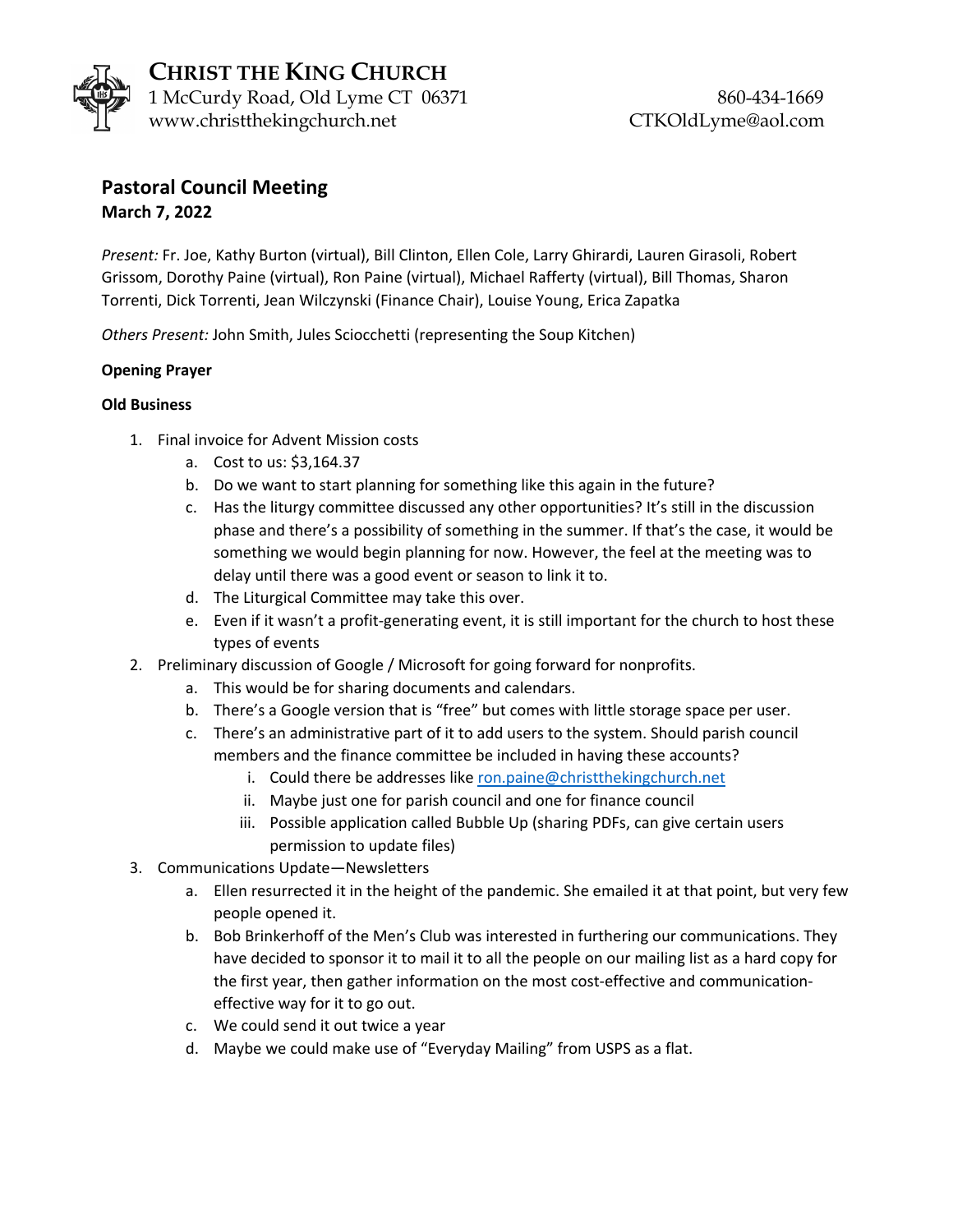

**CHRIST THE KING CHURCH** 1 McCurdy Road, Old Lyme CT 06371 860-434-1669 www.christthekingchurch.net CTKOldLyme@aol.com

## **Pastoral Council Meeting March 7, 2022**

*Present:* Fr. Joe, Kathy Burton (virtual), Bill Clinton, Ellen Cole, Larry Ghirardi, Lauren Girasoli, Robert Grissom, Dorothy Paine (virtual), Ron Paine (virtual), Michael Rafferty (virtual), Bill Thomas, Sharon Torrenti, Dick Torrenti, Jean Wilczynski (Finance Chair), Louise Young, Erica Zapatka

*Others Present:* John Smith, Jules Sciocchetti (representing the Soup Kitchen)

## **Opening Prayer**

## **Old Business**

- 1. Final invoice for Advent Mission costs
	- a. Cost to us: \$3,164.37
	- b. Do we want to start planning for something like this again in the future?
	- c. Has the liturgy committee discussed any other opportunities? It's still in the discussion phase and there's a possibility of something in the summer. If that's the case, it would be something we would begin planning for now. However, the feel at the meeting was to delay until there was a good event or season to link it to.
	- d. The Liturgical Committee may take this over.
	- e. Even if it wasn't a profit-generating event, it is still important for the church to host these types of events
- 2. Preliminary discussion of Google / Microsoft for going forward for nonprofits.
	- a. This would be for sharing documents and calendars.
	- b. There's a Google version that is "free" but comes with little storage space per user.
	- c. There's an administrative part of it to add users to the system. Should parish council members and the finance committee be included in having these accounts?
		- i. Could there be addresses like ron.paine@christthekingchurch.net
		- ii. Maybe just one for parish council and one for finance council
		- iii. Possible application called Bubble Up (sharing PDFs, can give certain users permission to update files)
- 3. Communications Update—Newsletters
	- a. Ellen resurrected it in the height of the pandemic. She emailed it at that point, but very few people opened it.
	- b. Bob Brinkerhoff of the Men's Club was interested in furthering our communications. They have decided to sponsor it to mail it to all the people on our mailing list as a hard copy for the first year, then gather information on the most cost-effective and communicationeffective way for it to go out.
	- c. We could send it out twice a year
	- d. Maybe we could make use of "Everyday Mailing" from USPS as a flat.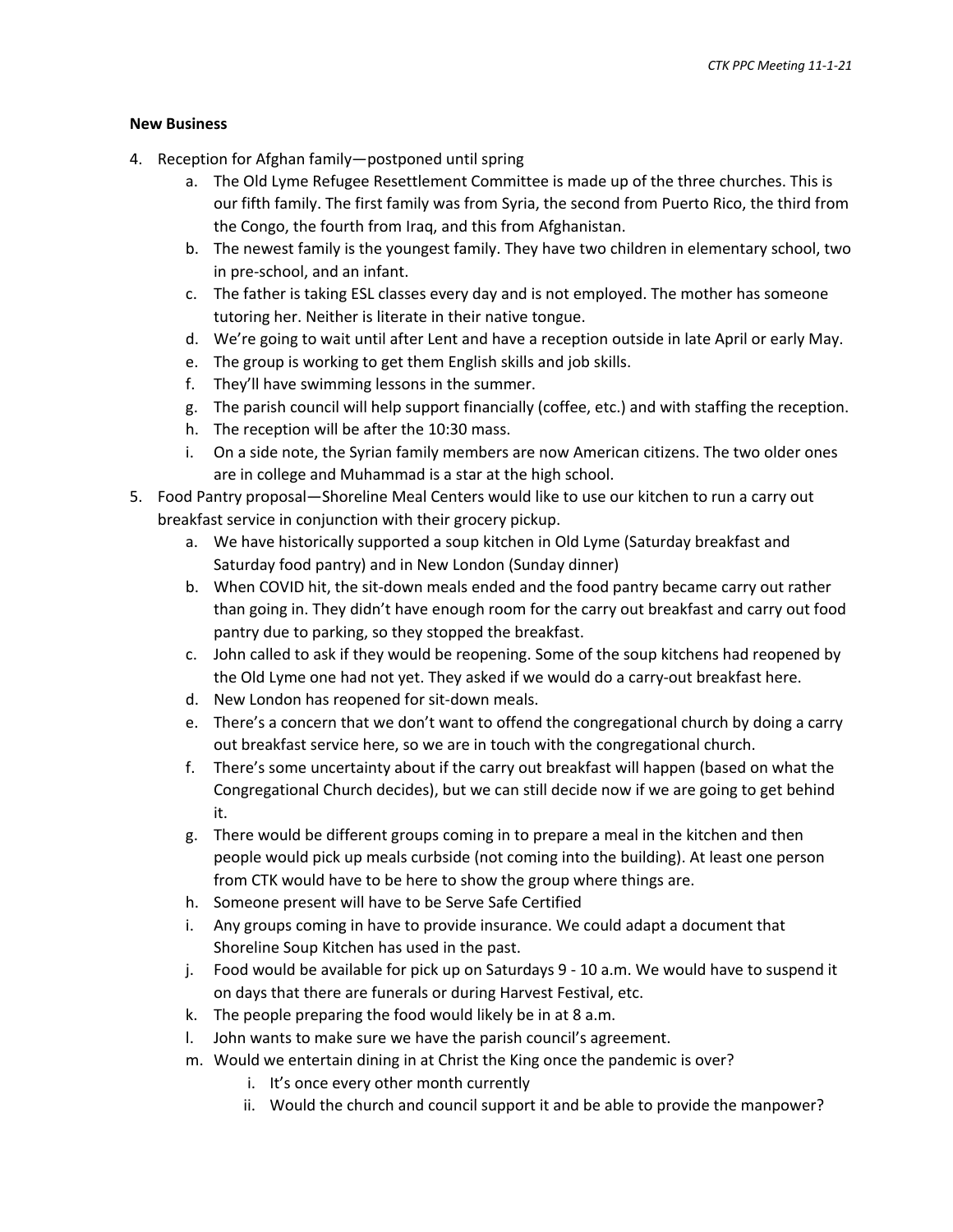## **New Business**

- 4. Reception for Afghan family—postponed until spring
	- a. The Old Lyme Refugee Resettlement Committee is made up of the three churches. This is our fifth family. The first family was from Syria, the second from Puerto Rico, the third from the Congo, the fourth from Iraq, and this from Afghanistan.
	- b. The newest family is the youngest family. They have two children in elementary school, two in pre-school, and an infant.
	- c. The father is taking ESL classes every day and is not employed. The mother has someone tutoring her. Neither is literate in their native tongue.
	- d. We're going to wait until after Lent and have a reception outside in late April or early May.
	- e. The group is working to get them English skills and job skills.
	- f. They'll have swimming lessons in the summer.
	- g. The parish council will help support financially (coffee, etc.) and with staffing the reception.
	- h. The reception will be after the 10:30 mass.
	- i. On a side note, the Syrian family members are now American citizens. The two older ones are in college and Muhammad is a star at the high school.
- 5. Food Pantry proposal—Shoreline Meal Centers would like to use our kitchen to run a carry out breakfast service in conjunction with their grocery pickup.
	- a. We have historically supported a soup kitchen in Old Lyme (Saturday breakfast and Saturday food pantry) and in New London (Sunday dinner)
	- b. When COVID hit, the sit-down meals ended and the food pantry became carry out rather than going in. They didn't have enough room for the carry out breakfast and carry out food pantry due to parking, so they stopped the breakfast.
	- c. John called to ask if they would be reopening. Some of the soup kitchens had reopened by the Old Lyme one had not yet. They asked if we would do a carry-out breakfast here.
	- d. New London has reopened for sit-down meals.
	- e. There's a concern that we don't want to offend the congregational church by doing a carry out breakfast service here, so we are in touch with the congregational church.
	- f. There's some uncertainty about if the carry out breakfast will happen (based on what the Congregational Church decides), but we can still decide now if we are going to get behind it.
	- g. There would be different groups coming in to prepare a meal in the kitchen and then people would pick up meals curbside (not coming into the building). At least one person from CTK would have to be here to show the group where things are.
	- h. Someone present will have to be Serve Safe Certified
	- i. Any groups coming in have to provide insurance. We could adapt a document that Shoreline Soup Kitchen has used in the past.
	- j. Food would be available for pick up on Saturdays 9 10 a.m. We would have to suspend it on days that there are funerals or during Harvest Festival, etc.
	- k. The people preparing the food would likely be in at 8 a.m.
	- l. John wants to make sure we have the parish council's agreement.
	- m. Would we entertain dining in at Christ the King once the pandemic is over?
		- i. It's once every other month currently
		- ii. Would the church and council support it and be able to provide the manpower?